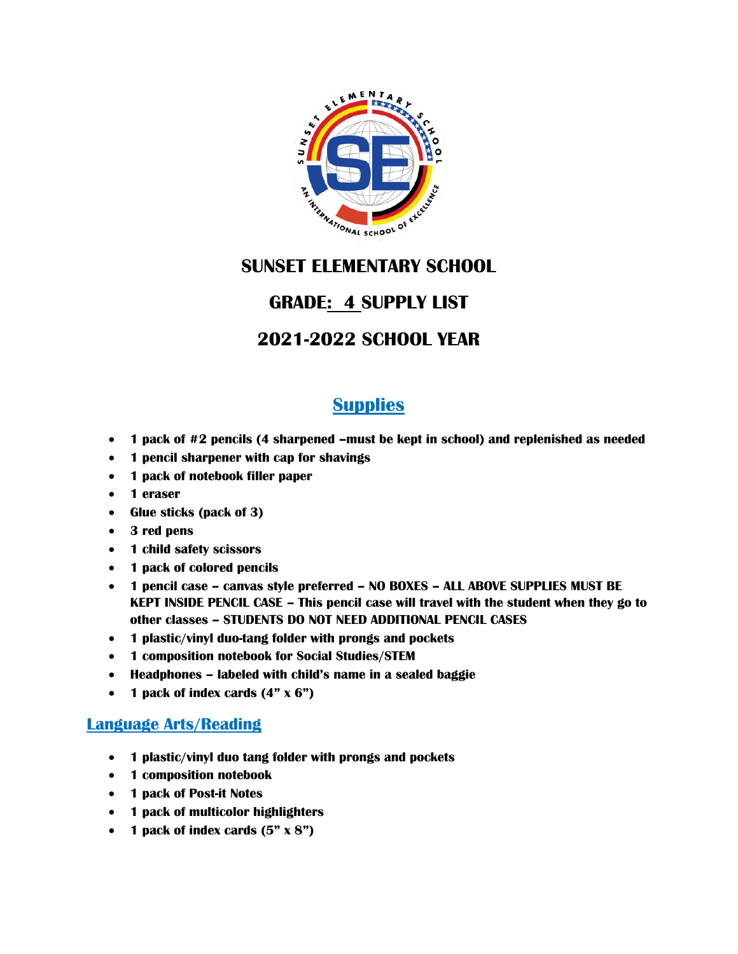

### **SUNSET ELEMENTARY SCHOOL**

## **GRADE: 4 SUPPLY LIST**

# **2021-2022 SCHOOL YEAR**

## **Supplies**

- **1 pack of #2 pencils (4 sharpened –must be kept in school) and replenished as needed**
- **1 pencil sharpener with cap for shavings**
- **1 pack of notebook filler paper**
- **1 eraser**
- **Glue sticks (pack of 3)**
- **3 red pens**
- **1 child safety scissors**
- **1 pack of colored pencils**
- **1 pencil case – canvas style preferred – NO BOXES – ALL ABOVE SUPPLIES MUST BE KEPT INSIDE PENCIL CASE – This pencil case will travel with the student when they go to other classes – STUDENTS DO NOT NEED ADDITIONAL PENCIL CASES**
- **1 plastic/vinyl duo-tang folder with prongs and pockets**
- **1 composition notebook for Social Studies/STEM**
- **Headphones – labeled with child's name in a sealed baggie**
- **1 pack of index cards (4" x 6")**

#### **Language Arts/Reading**

- **1 plastic/vinyl duo tang folder with prongs and pockets**
- **1 composition notebook**
- **1 pack of Post-it Notes**
- **1 pack of multicolor highlighters**
- **1 pack of index cards (5" x 8")**